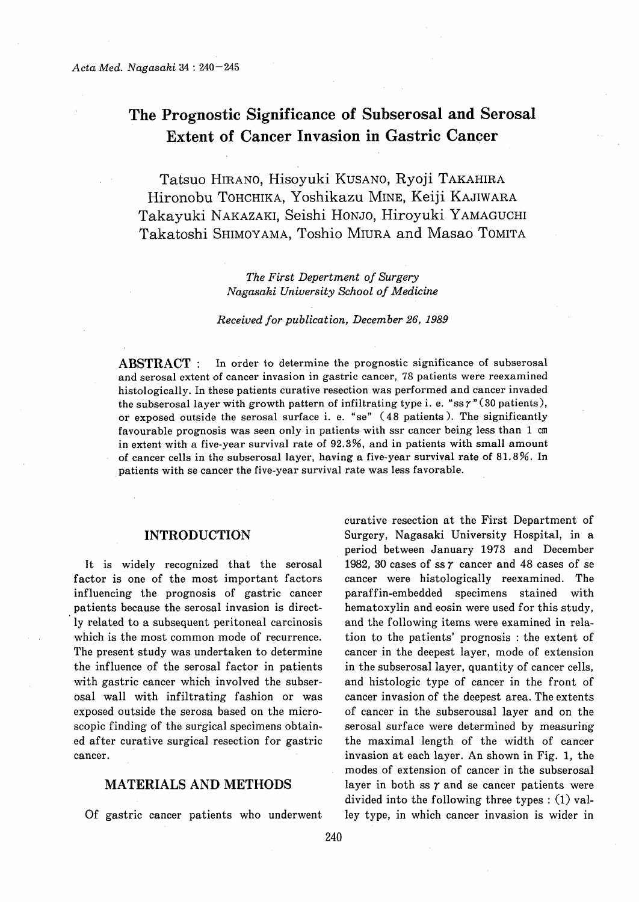# The Prognostic Significance of Subserosal and Serosal Extent of Cancer Invasion in Gastric Cancer

 Tatsuo HIRANO, Hisoyuki KUSANO, Ryoji TAKAHIRA Hironobu TOHCHIKA, Yoshikazu MINE, Keiji KAJIWARA Takayuki NAKAZAKI, Seishi HONJO, Hiroyuki YAMAGUCHI Takatoshi SHIMOYAMA, Toshio MIURA and Masao TOMITA

> The First Depertment of Surgery Nagasaki University School of Medicine

#### Received for publication, December 26, 1989

ABSTRACT : In order to determine the prognostic significance of subserosal and serosal extent of cancer invasion in gastric cancer, 78 patients were reexamined histologically. In these patients curative resection was performed and cancer invaded the subserosal layer with growth pattern of infiltrating type i. e. "ssγ"(30 patients), or exposed outside the serosal surface i.e. "se" (48 patients). The significantly favourable prognosis was seen only in patients with ssr cancer being less than 1 cm in extent with a five-year survival rate of 92.3%, and in patients with small amount of cancer cells in the subserosal layer, having a five-year survival rate of 81.8%. In patients with se cancer the five-year survival rate was less favorable.

## INTRODUCTION

It is widely recognized that the serosal factor is one of the most important factors influencing the prognosis of gastric cancer patients because the serosal invasion is directly related to a subsequent peritoneal carcinosis which is the most common mode of recurrence. The present study was undertaken to determine the influence of the serosal factor in patients with gastric cancer which involved the subserosal wall with infiltrating fashion or was exposed outside the serosa based on the microscopic finding of the surgical specimens obtained after curative surgical resection for gastric cancer.

## MATERIALS AND METHODS

Of gastric cancer patients who underwent

curative resection at the First Department of Surgery, Nagasaki University Hospital, in a period between January 1973 and December 1982, 30 cases of ss  $\gamma$  cancer and 48 cases of se cancer were histologically reexamined. The paraffin-embedded specimens stained with hematoxylin and eosin were used for this study, and the following items were examined in relation to the patients' prognosis : the extent of cancer in the deepest layer, mode of extension in the subserosal layer, quantity of cancer cells, and histologic type of cancer in the front of cancer invasion of the deepest area. The extents of cancer in the subserousal layer and on the serosal surface were determined by measuring the maximal length of the width of cancer invasion at each layer. An shown in Fig. 1, the modes of extension of cancer in the subserosal layer in both ss  $\gamma$  and se cancer patients were divided into the following three types : (1) valley type, in which cancer invasion is wider in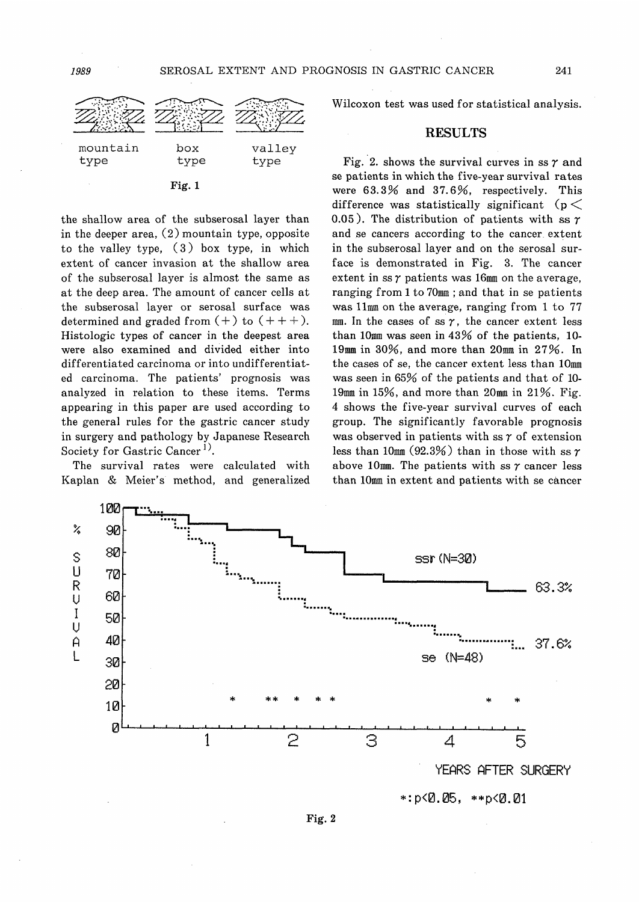

Fig. 1

the shallow area of the subserosal layer than in the deeper area, (2) mountain type, opposite to the valley type, (3) box type, in which extent of cancer invasion at the shallow area of the subserosal layer is almost the same as at the deep area. The amount of cancer cells at the subserosal layer or serosal surface was determined and graded from  $(+)$  to  $(+++)$ . Histologic types of cancer in the deepest area were also examined and divided either into differentiated carcinoma or into undifferentiated carcinoma. The patients' prognosis was analyzed in relation to these items. Terms appearing in this paper are used according to the general rules for the gastric cancer study in surgery and pathology by Japanese Research Society for Gastric Cancer<sup>1)</sup>.

The survival rates were calculated with Kaplan & Meier's method, and generalized Wilcoxon test was used for statistical analysis.

### RESULTS

Fig. 2. shows the survival curves in ss  $\gamma$  and se patients in which the five-year survival rates were 63.3% and 37.6%, respectively. This difference was statistically significant ( $p <$ 0.05). The distribution of patients with ss  $\gamma$ and se cancers according to the cancer. extent in the subserosal layer and on the serosal surface is demonstrated in Fig. 3. The cancer extent in ss  $\gamma$  patients was 16mm on the average, ranging from 1 to 70mm; and that in se patients was 11mm on the average, ranging from 1 to 77 mm. In the cases of ss  $\gamma$ , the cancer extent less than 10mm was seen in 43% of the patients, 10- 19mm in 30%, and more than 20mm in 27%. In the cases of se, the cancer extent less than 10mm was seen in 65% of the patients and that of 10- 19mm in 15%, and more than 20mm in 21%. Fig. 4 shows the five-year survival curves of each group. The significantly favorable prognosis was observed in patients with ss  $\gamma$  of extension less than 10mm (92.3%) than in those with ss  $\gamma$ above 10mm. The patients with ss  $\gamma$  cancer less than 10mm in extent and patients with se cancer



 $*: p < 0.05, ** p < 0.01$ 

Fig. 2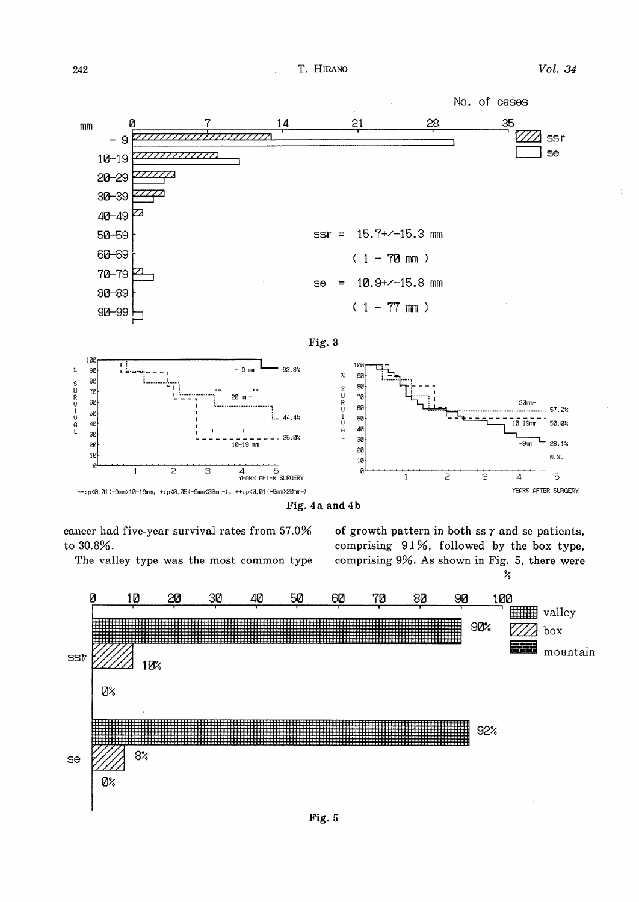T. HIRANO



Fig. 5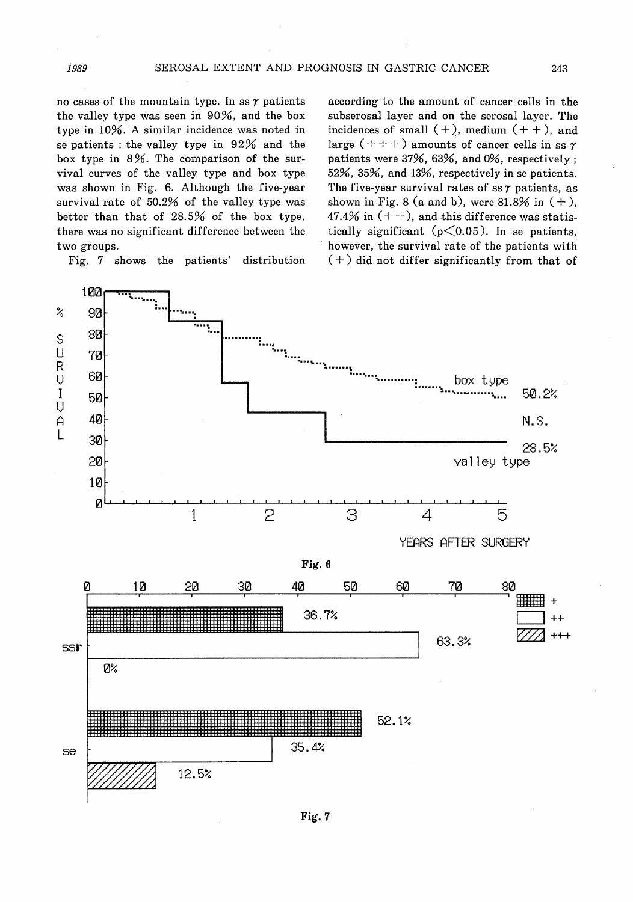no cases of the mountain type. In ss  $\gamma$  patients the valley type was seen in 90%, and the box type in 10%. A similar incidence was noted in se patients : the valley type in 92% and the box type in 8%. The comparison of the survival curves of the valley type and box type was shown in Fig. 6. Although the five-year survival rate of 50.2% of the valley type was better than that of 28.5% of the box type, there was no significant difference between the two groups.

Fig. 7 shows the patients' distribution

according to the amount of cancer cells in the subserosal layer and on the serosal layer. The incidences of small  $(+)$ , medium  $(++)$ , and large  $(+ + +)$  amounts of cancer cells in ss  $\gamma$ patients were 37%, 63%, and 0%, respectively ; 52%, 35%, and 13%, respectively in se patients. The five-year survival rates of ss  $\gamma$  patients, as shown in Fig. 8 (a and b), were 81.8% in  $(+)$ , 47.4% in  $(++)$ , and this difference was statistically significant  $(p<0.05)$ . In se patients, however, the survival rate of the patients with (+) did not differ significantly from that of



1989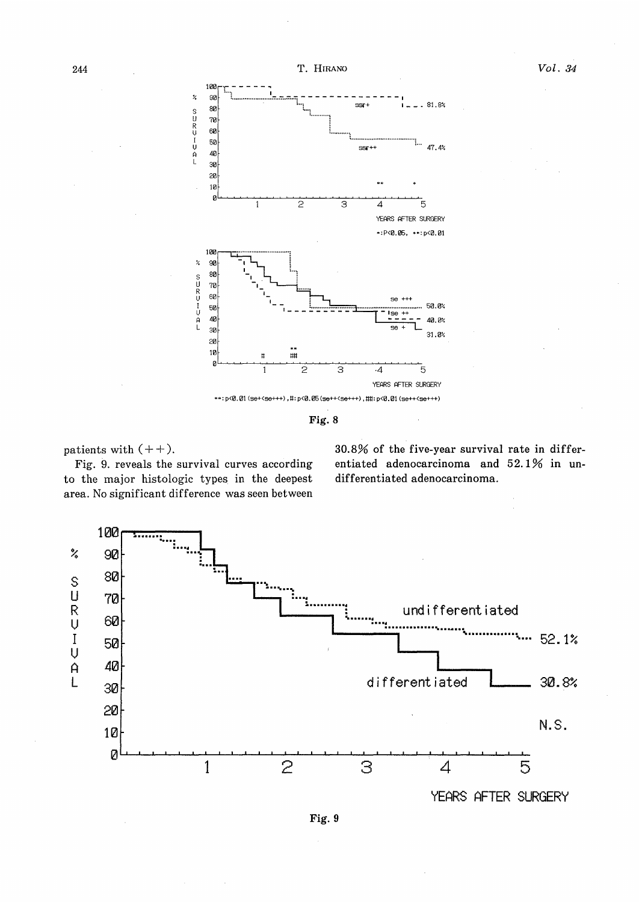

Fig. 8

patients with  $(++)$ .

Fig. 9. reveals the survival curves according to the major histologic types in the deepest area. No significant difference was seen between 30.8% of the five-year survival rate in differentiated adenocarcinoma and 52.1% in undifferentiated adenocarcinoma.



YEARS AFTER SURGERY

Fig. 9